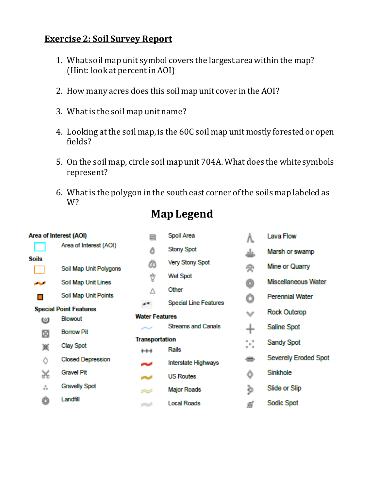# **Exercise 2: Soil Survey Report**

- 1. What soil map unit symbol covers the largest area within the map? (Hint: look at percent in AOI)
- 2. How many acres does this soil map unit cover in the AOI?
- 3. What is the soil map unit name?
- 4. Looking at the soil map, is the 60C soil map unit mostly forested or open fields?
- 5. On the soil map, circle soil map unit 704A. What does the white symbols represent?
- 6. What is the polygon in the south east corner of the soils map labeled as W?

# **Map Legend**

| Area of Interest (AOI) |                               | a                     | Spoil Area                   |        | Lava Flow                  |
|------------------------|-------------------------------|-----------------------|------------------------------|--------|----------------------------|
|                        | Area of Interest (AOI)        | ٥                     | <b>Stony Spot</b>            |        | Marsh or swamp             |
| Soils                  |                               |                       | <b>Very Stony Spot</b>       |        |                            |
|                        | Soil Map Unit Polygons        | ග                     |                              | 宍      | Mine or Quarry             |
| محاد                   | Soil Map Unit Lines           | Ŷ                     | Wet Spot                     | o      | <b>Miscellaneous Water</b> |
|                        |                               | Δ                     | Other                        |        |                            |
| $\blacksquare$         | Soil Map Unit Points          |                       | <b>Special Line Features</b> | O      | <b>Perennial Water</b>     |
|                        | <b>Special Point Features</b> |                       |                              | w      | <b>Rock Outcrop</b>        |
| Blowout<br>ၑ           |                               |                       | <b>Water Features</b>        |        |                            |
| ⊠                      | <b>Borrow Pit</b>             |                       | <b>Streams and Canals</b>    | $\div$ | Saline Spot                |
|                        |                               | <b>Transportation</b> |                              |        | <b>Sandy Spot</b>          |
| 溅                      | <b>Clay Spot</b>              | $^{\rm ++}$           | Rails                        | ∷.     |                            |
| Ô                      | <b>Closed Depression</b>      | ~                     | Interstate Highways          | ⇔      | Severely Eroded Spot       |
| X                      | <b>Gravel Pit</b>             | ᆇ                     | <b>US Routes</b>             | Ô      | Sinkhole                   |
| å                      | <b>Gravelly Spot</b>          | S                     | <b>Major Roads</b>           |        | Slide or Slip              |
| O                      | Landfill                      | <b>START START</b>    | Local Roads                  | ø      | Sodic Spot                 |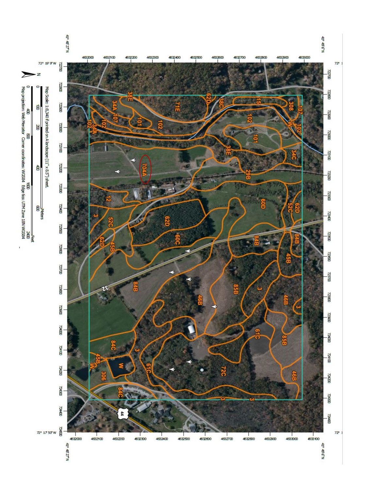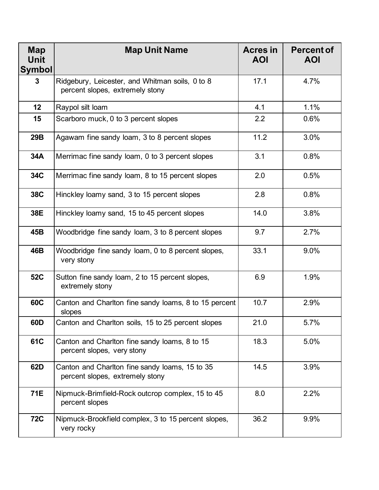| <b>Map</b><br><b>Unit</b><br><b>Symbol</b> | <b>Map Unit Name</b>                                                               | <b>Acres in</b><br><b>AOI</b> | <b>Percent of</b><br><b>AOI</b> |
|--------------------------------------------|------------------------------------------------------------------------------------|-------------------------------|---------------------------------|
| $\mathbf{3}$                               | Ridgebury, Leicester, and Whitman soils, 0 to 8<br>percent slopes, extremely stony | 17.1                          | 4.7%                            |
| 12                                         | Raypol silt loam                                                                   | 4.1                           | 1.1%                            |
| 15                                         | Scarboro muck, 0 to 3 percent slopes                                               | 2.2                           | 0.6%                            |
| 29B                                        | Agawam fine sandy loam, 3 to 8 percent slopes                                      | 11.2                          | 3.0%                            |
| 34A                                        | Merrimac fine sandy loam, 0 to 3 percent slopes                                    | 3.1                           | 0.8%                            |
| 34C                                        | Merrimac fine sandy loam, 8 to 15 percent slopes                                   | 2.0                           | 0.5%                            |
| <b>38C</b>                                 | Hinckley loamy sand, 3 to 15 percent slopes                                        | 2.8                           | 0.8%                            |
| 38E                                        | Hinckley loamy sand, 15 to 45 percent slopes                                       | 14.0                          | 3.8%                            |
| 45B                                        | Woodbridge fine sandy loam, 3 to 8 percent slopes                                  | 9.7                           | 2.7%                            |
| 46B                                        | Woodbridge fine sandy loam, 0 to 8 percent slopes,<br>very stony                   | 33.1                          | 9.0%                            |
| <b>52C</b>                                 | Sutton fine sandy loam, 2 to 15 percent slopes,<br>extremely stony                 | 6.9                           | 1.9%                            |
| <b>60C</b>                                 | Canton and Charlton fine sandy loams, 8 to 15 percent<br>slopes                    | 10.7                          | 2.9%                            |
| 60D                                        | Canton and Charlton soils, 15 to 25 percent slopes                                 | 21.0                          | 5.7%                            |
| 61C                                        | Canton and Charlton fine sandy loams, 8 to 15<br>percent slopes, very stony        | 18.3                          | 5.0%                            |
| 62D                                        | Canton and Charlton fine sandy loams, 15 to 35<br>percent slopes, extremely stony  | 14.5                          | 3.9%                            |
| 71E                                        | Nipmuck-Brimfield-Rock outcrop complex, 15 to 45<br>percent slopes                 | 8.0                           | 2.2%                            |
| <b>72C</b>                                 | Nipmuck-Brookfield complex, 3 to 15 percent slopes,<br>very rocky                  | 36.2                          | 9.9%                            |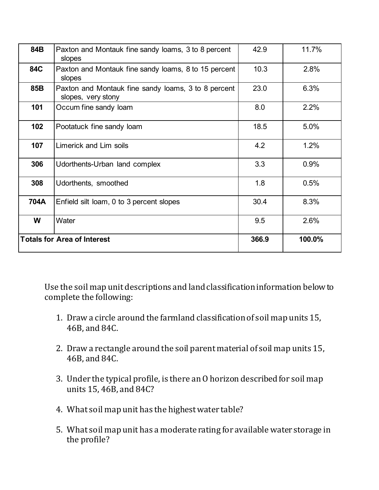| 84B        | Paxton and Montauk fine sandy loams, 3 to 8 percent<br>slopes             | 42.9  | 11.7%  |
|------------|---------------------------------------------------------------------------|-------|--------|
| <b>84C</b> | Paxton and Montauk fine sandy loams, 8 to 15 percent<br>slopes            | 10.3  | 2.8%   |
| 85B        | Paxton and Montauk fine sandy loams, 3 to 8 percent<br>slopes, very stony | 23.0  | 6.3%   |
| 101        | Occum fine sandy loam                                                     | 8.0   | 2.2%   |
| 102        | Pootatuck fine sandy loam                                                 | 18.5  | 5.0%   |
| 107        | Limerick and Lim soils                                                    | 4.2   | 1.2%   |
| 306        | Udorthents-Urban land complex                                             | 3.3   | 0.9%   |
| 308        | Udorthents, smoothed                                                      | 1.8   | 0.5%   |
| 704A       | Enfield silt loam, 0 to 3 percent slopes                                  | 30.4  | 8.3%   |
| W<br>Water |                                                                           | 9.5   | 2.6%   |
|            | <b>Totals for Area of Interest</b>                                        | 366.9 | 100.0% |

Use the soil map unit descriptions and land classification information below to complete the following:

- 1. Draw a circle around the farmland classification of soil map units 15, 46B, and 84C.
- 2. Draw a rectangle around the soil parent material of soil map units 15, 46B, and 84C.
- 3. Under the typical profile, is there an O horizon described for soil map units 15, 46B, and 84C?
- 4. What soil map unit has the highest water table?
- 5. What soil map unit has a moderate rating for available water storage in the profile?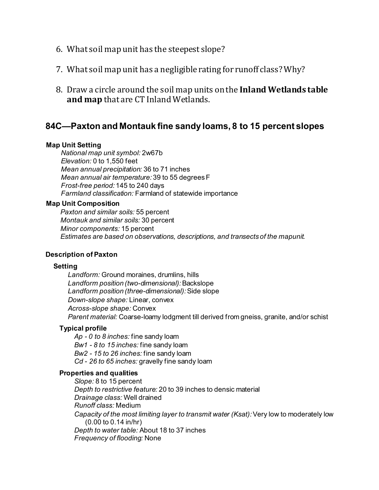- 6. What soil map unit has the steepest slope?
- 7. What soil map unit has a negligiblerating for runoff class? Why?
- 8. Draw a circle around the soil map units on the **Inland Wetlands table and map** that are CT Inland Wetlands.

# **84C—Paxton and Montauk fine sandy loams, 8 to 15 percent slopes**

# **Map Unit Setting**

*National map unit symbol:* 2w67b *Elevation:* 0 to 1,550 feet *Mean annual precipitation:* 36 to 71 inches *Mean annual air temperature:* 39 to 55 degrees F *Frost-free period:* 145 to 240 days *Farmland classification:* Farmland of statewide importance

# **Map Unit Composition**

*Paxton and similar soils:* 55 percent *Montauk and similar soils:* 30 percent *Minor components:* 15 percent *Estimates are based on observations, descriptions, and transects of the mapunit.*

# **Description of Paxton**

# **Setting**

*Landform:* Ground moraines, drumlins, hills *Landform position (two-dimensional):* Backslope *Landform position (three-dimensional):* Side slope *Down-slope shape:* Linear, convex *Across-slope shape:* Convex *Parent material:* Coarse-loamy lodgment till derived from gneiss, granite, and/or schist

# **Typical profile**

*Ap - 0 to 8 inches:* fine sandy loam *Bw1 - 8 to 15 inches:* fine sandy loam *Bw2 - 15 to 26 inches:* fine sandy loam *Cd - 26 to 65 inches:* gravelly fine sandy loam

# **Properties and qualities**

*Slope:* 8 to 15 percent *Depth to restrictive feature:* 20 to 39 inches to densic material *Drainage class:* Well drained *Runoff class:* Medium *Capacity of the most limiting layer to transmit water (Ksat):* Very low to moderately low (0.00 to 0.14 in/hr) *Depth to water table:* About 18 to 37 inches *Frequency of flooding:* None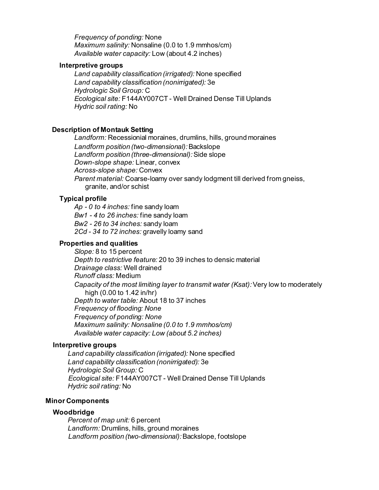*Frequency of ponding:* None *Maximum salinity:* Nonsaline (0.0 to 1.9 mmhos/cm) *Available water capacity:* Low (about 4.2 inches)

# **Interpretive groups**

*Land capability classification (irrigated):* None specified *Land capability classification (nonirrigated):* 3e *Hydrologic Soil Group:* C *Ecological site:* F144AY007CT - Well Drained Dense Till Uplands *Hydric soil rating:* No

# **Description of Montauk Setting**

*Landform:* Recessionial moraines, drumlins, hills, ground moraines *Landform position (two-dimensional):* Backslope *Landform position (three-dimensional):* Side slope *Down-slope shape:* Linear, convex *Across-slope shape:* Convex *Parent material:* Coarse-loamy over sandy lodgment till derived from gneiss, granite, and/or schist

# **Typical profile**

*Ap - 0 to 4 inches:* fine sandy loam *Bw1 - 4 to 26 inches:* fine sandy loam *Bw2 - 26 to 34 inches:* sandy loam *2Cd - 34 to 72 inches:* gravelly loamy sand

# **Properties and qualities**

*Slope:* 8 to 15 percent *Depth to restrictive feature:* 20 to 39 inches to densic material *Drainage class:* Well drained *Runoff class:* Medium *Capacity of the most limiting layer to transmit water (Ksat):* Very low to moderately high (0.00 to 1.42 in/hr) *Depth to water table:* About 18 to 37 inches *Frequency of flooding: None Frequency of ponding: None Maximum salinity: Nonsaline (0.0 to 1.9 mmhos/cm) Available water capacity: Low (about 5.2 inches)*

## **Interpretive groups**

*Land capability classification (irrigated):* None specified *Land capability classification (nonirrigated):* 3e *Hydrologic Soil Group:* C *Ecological site:* F144AY007CT - Well Drained Dense Till Uplands *Hydric soil rating:* No

## **Minor Components**

# **Woodbridge**

*Percent of map unit:* 6 percent *Landform:* Drumlins, hills, ground moraines *Landform position (two-dimensional):* Backslope, footslope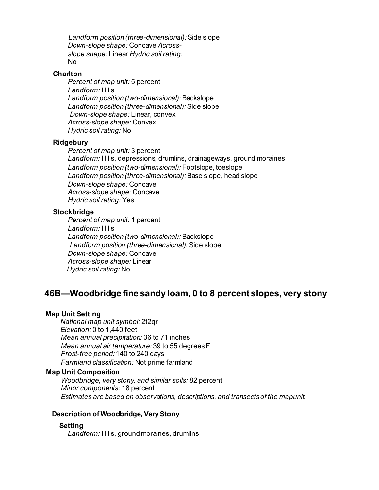*Landform position (three-dimensional):* Side slope *Down-slope shape:* Concave *Acrossslope shape:* Linear *Hydric soil rating:*  No

#### **Charlton**

*Percent of map unit:* 5 percent *Landform:* Hills *Landform position (two-dimensional):* Backslope *Landform position (three-dimensional):* Side slope *Down-slope shape:* Linear, convex *Across-slope shape:* Convex *Hydric soil rating:* No

# **Ridgebury**

*Percent of map unit:* 3 percent *Landform:* Hills, depressions, drumlins, drainageways, ground moraines *Landform position (two-dimensional):* Footslope, toeslope *Landform position (three-dimensional):* Base slope, head slope *Down-slope shape:* Concave *Across-slope shape:* Concave *Hydric soil rating:* Yes

# **Stockbridge**

*Percent of map unit:* 1 percent *Landform:* Hills *Landform position (two-dimensional):* Backslope *Landform position (three-dimensional):* Side slope *Down-slope shape:* Concave *Across-slope shape:* Linear *Hydric soil rating:* No

# **46B—Woodbridge fine sandy loam, 0 to 8 percent slopes, very stony**

# **Map Unit Setting**

*National map unit symbol:* 2t2qr *Elevation:* 0 to 1,440 feet *Mean annual precipitation:* 36 to 71 inches *Mean annual air temperature:* 39 to 55 degrees F *Frost-free period:* 140 to 240 days *Farmland classification:* Not prime farmland

## **Map Unit Composition**

*Woodbridge, very stony, and similar soils:* 82 percent *Minor components:* 18 percent *Estimates are based on observations, descriptions, and transects of the mapunit.*

#### **Description of Woodbridge, Very Stony**

#### **Setting**

*Landform:* Hills, ground moraines, drumlins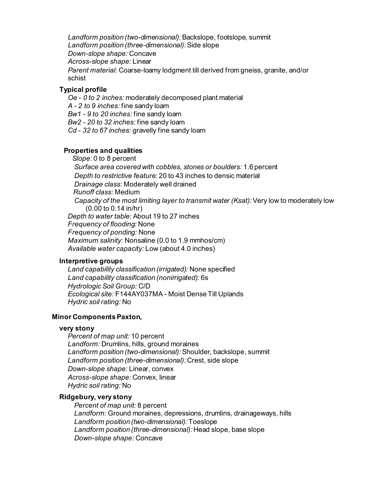*Landform position (two-dimensional):* Backslope, footslope, summit *Landform position (three-dimensional):* Side slope *Down-slope shape:* Concave *Across-slope shape:* Linear *Parent material:* Coarse-loamy lodgment till derived from gneiss, granite, and/or schist

# **Typical profile**

*Oe - 0 to 2 inches:* moderately decomposed plant material *A - 2 to 9 inches:* fine sandy loam *Bw1 - 9 to 20 inches:* fine sandy loam *Bw2 - 20 to 32 inches:* fine sandy loam *Cd - 32 to 67 inches:* gravelly fine sandy loam

# **Properties and qualities**

*Slope:* 0 to 8 percent *Surface area covered with cobbles, stones or boulders:* 1.6 percent *Depth to restrictive feature:* 20 to 43 inches to densic material *Drainage class:* Moderately well drained  *Runoff class:* Medium *Capacity of the most limiting layer to transmit water (Ksat):* Very low to moderately low (0.00 to 0.14 in/hr) *Depth to water table:* About 19 to 27 inches *Frequency of flooding:* None *Frequency of ponding:* None *Maximum salinity:* Nonsaline (0.0 to 1.9 mmhos/cm) *Available water capacity:* Low (about 4.0 inches)

#### **Interpretive groups**

*Land capability classification (irrigated):* None specified *Land capability classification (nonirrigated):* 6s *Hydrologic Soil Group:* C/D *Ecological site:* F144AY037MA - Moist Dense Till Uplands *Hydric soil rating:* No

## **Minor Components Paxton,**

#### **very stony**

*Percent of map unit:* 10 percent *Landform:* Drumlins, hills, ground moraines *Landform position (two-dimensional):* Shoulder, backslope, summit *Landform position (three-dimensional):* Crest, side slope *Down-slope shape:* Linear, convex *Across-slope shape:* Convex, linear *Hydric soil rating:* No

# **Ridgebury, very stony**

*Percent of map unit:* 8 percent *Landform:* Ground moraines, depressions, drumlins, drainageways, hills *Landform position (two-dimensional):* Toeslope *Landform position (three-dimensional):* Head slope, base slope *Down-slope shape:* Concave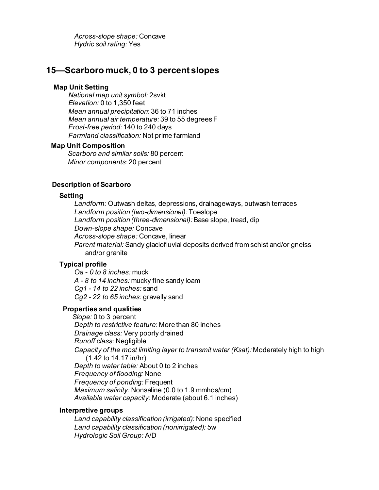*Across-slope shape:* Concave *Hydric soil rating:* Yes

# **15—Scarboro muck, 0 to 3 percent slopes**

#### **Map Unit Setting**

*National map unit symbol:* 2svkt *Elevation:* 0 to 1,350 feet *Mean annual precipitation:* 36 to 71 inches *Mean annual air temperature:* 39 to 55 degrees F *Frost-free period:* 140 to 240 days *Farmland classification:* Not prime farmland

#### **Map Unit Composition**

 *Scarboro and similar soils:* 80 percent  *Minor components:* 20 percent

# **Description of Scarboro**

#### **Setting**

*Landform:* Outwash deltas, depressions, drainageways, outwash terraces *Landform position (two-dimensional):* Toeslope *Landform position (three-dimensional):* Base slope, tread, dip *Down-slope shape:* Concave *Across-slope shape:* Concave, linear *Parent material:* Sandy glaciofluvial deposits derived from schist and/or gneiss and/or granite

#### **Typical profile**

*Oa - 0 to 8 inches:* muck *A - 8 to 14 inches:* mucky fine sandy loam *Cg1 - 14 to 22 inches:* sand *Cg2 - 22 to 65 inches:* gravelly sand

#### **Properties and qualities**

*Slope:* 0 to 3 percent *Depth to restrictive feature:* More than 80 inches *Drainage class:* Very poorly drained *Runoff class:* Negligible *Capacity of the most limiting layer to transmit water (Ksat):* Moderately high to high (1.42 to 14.17 in/hr) *Depth to water table:* About 0 to 2 inches *Frequency of flooding:* None *Frequency of ponding:* Frequent *Maximum salinity:* Nonsaline (0.0 to 1.9 mmhos/cm) *Available water capacity:* Moderate (about 6.1 inches)

#### **Interpretive groups**

*Land capability classification (irrigated):* None specified *Land capability classification (nonirrigated):* 5w *Hydrologic Soil Group:* A/D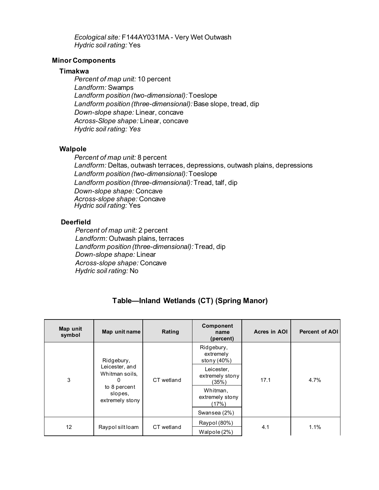*Ecological site:* F144AY031MA - Very Wet Outwash *Hydric soil rating:* Yes

# **Minor Components**

# **Timakwa**

*Percent of map unit:* 10 percent *Landform:* Swamps *Landform position (two-dimensional):* Toeslope *Landform position (three-dimensional):* Base slope, tread, dip *Down-slope shape:* Linear, concave *Across-Slope shape:* Linear, concave *Hydric soil rating: Yes*

## **Walpole**

*Percent of map unit:* 8 percent *Landform:* Deltas, outwash terraces, depressions, outwash plains, depressions *Landform position (two-dimensional):* Toeslope *Landform position (three-dimensional):* Tread, talf, dip *Down-slope shape:* Concave *Across-slope shape:* Concave *Hydric soil rating:* Yes

## **Deerfield**

*Percent of map unit:* 2 percent *Landform:* Outwash plains, terraces *Landform position (three-dimensional):* Tread, dip *Down-slope shape:* Linear *Across-slope shape:* Concave *Hydric soil rating:* No

| Map unit<br>symbol | Map unit name                                                                                     | Rating     | <b>Component</b><br>name<br>(percent)    | Acres in AOI | <b>Percent of AOI</b> |
|--------------------|---------------------------------------------------------------------------------------------------|------------|------------------------------------------|--------------|-----------------------|
|                    | Ridgebury,<br>Leicester, and<br>Whitman soils,<br>0<br>to 8 percent<br>slopes,<br>extremely stony | CT wetland | Ridgebury,<br>extremely<br>stony $(40%)$ | 17.1         | 4.7%                  |
| 3                  |                                                                                                   |            | Leicester,<br>extremely stony<br>(35%)   |              |                       |
|                    |                                                                                                   |            | Whitman,<br>extremely stony<br>(17%)     |              |                       |
|                    |                                                                                                   |            | Swansea (2%)                             |              |                       |
|                    | Raypol silt loam                                                                                  | CT wetland | Raypol (80%)                             |              | 1.1%                  |
| 12                 |                                                                                                   |            | Walpole (2%)                             | 4.1          |                       |

# **Table—Inland Wetlands (CT) (Spring Manor)**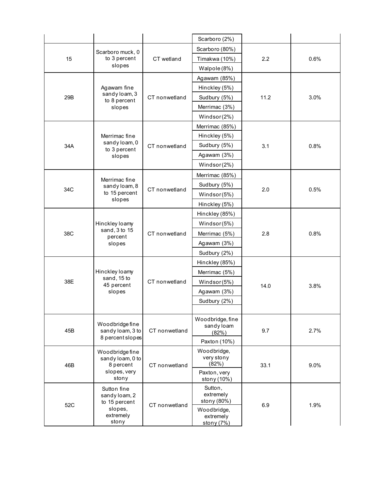|     |                                                         |               | Scarboro (2%)               |      |      |
|-----|---------------------------------------------------------|---------------|-----------------------------|------|------|
| 15  | Scarboro muck, 0<br>to 3 percent<br>slopes              | CT wetland    | Scarboro (80%)              | 2.2  | 0.6% |
|     |                                                         |               | Timakwa (10%)               |      |      |
|     |                                                         |               | Walpole (8%)                |      |      |
|     |                                                         |               | Agawam (85%)                |      |      |
|     | Agawam fine                                             |               | Hinckley (5%)               | 11.2 |      |
| 29B | sandy loam, 3<br>to 8 percent                           | CT nonwetland | Sudbury (5%)                |      | 3.0% |
|     | slopes                                                  |               | Merrimac (3%)               |      |      |
|     |                                                         |               | Windsor(2%)                 |      |      |
|     |                                                         |               | Merrimac (85%)              |      |      |
|     | Merrimac fine                                           |               | Hinckley (5%)               |      |      |
| 34A | sandy loam, 0<br>to 3 percent                           | CT nonwetland | Sudbury (5%)                | 3.1  | 0.8% |
|     | slopes                                                  |               | Agawam (3%)                 |      |      |
|     |                                                         |               | Windsor(2%)                 |      |      |
|     |                                                         |               | Merrimac (85%)              |      |      |
|     | Merrimac fine<br>sandy loam, 8                          |               | Sudbury (5%)                |      |      |
| 34C | to 15 percent                                           | CT nonwetland | Windsor(5%)                 | 2.0  | 0.5% |
|     | slopes                                                  |               | Hinckley (5%)               |      |      |
|     | Hinckley loamy<br>sand, 3 to 15<br>percent<br>slopes    | CT nonwetland | Hinckley (85%)              | 2.8  | 0.8% |
|     |                                                         |               | Windsor(5%)                 |      |      |
| 38C |                                                         |               | Merrimac (5%)               |      |      |
|     |                                                         |               | Agawam (3%)                 |      |      |
|     |                                                         |               | Sudbury (2%)                |      |      |
|     |                                                         |               | Hinckley (85%)              |      |      |
|     | Hinckley loamy<br>sand, 15 to<br>45 percent<br>slopes   | CT nonwetland | Merrimac (5%)               | 14.0 | 3.8% |
| 38E |                                                         |               | Windsor(5%)                 |      |      |
|     |                                                         |               | Agawam (3%)                 |      |      |
|     |                                                         |               | Sudbury (2%)                |      |      |
|     |                                                         |               |                             |      |      |
|     |                                                         |               | Woodbridge, fine            |      |      |
| 45B | Woodbridge fine<br>sandy loam, 3 to<br>8 percent slopes | CT nonwetland | sandy loam<br>(82%)         | 9.7  | 2.7% |
|     |                                                         |               | Paxton (10%)                |      |      |
|     | Woodbridge fine                                         |               | Woodbridge,                 |      |      |
| 46B | sandy loam, 0 to<br>8 percent<br>slopes, very<br>stony  |               | very stony                  | 33.1 |      |
|     |                                                         | CT nonwetland | (82%)                       |      | 9.0% |
|     |                                                         |               | Paxton, very<br>stony (10%) |      |      |
|     | Sutton fine                                             |               | Sutton,                     |      |      |
|     | sandy loam, 2                                           | CT nonwetland | extremely                   | 6.9  |      |
| 52C | to 15 percent<br>slopes,                                |               | stony (80%)<br>Woodbridge,  |      | 1.9% |
|     | extremely<br>stony                                      |               | extremely                   |      |      |
|     |                                                         |               | stony (7%)                  |      |      |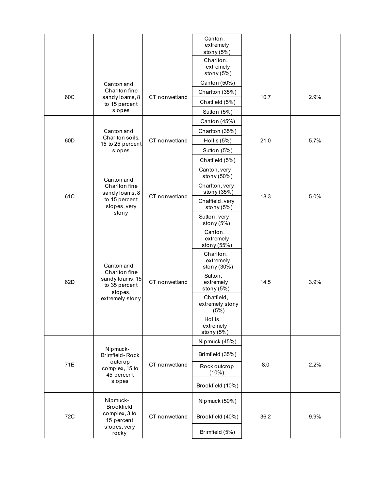|     |                                                              |               | Canton,<br>extremely<br>stony $(5%)$<br>Charlton,<br>extremely<br>stony (5%) |      |      |
|-----|--------------------------------------------------------------|---------------|------------------------------------------------------------------------------|------|------|
|     | Canton and                                                   |               | Canton (50%)                                                                 |      |      |
|     | Charlton fine                                                | CT nonwetland | Charlton (35%)                                                               | 10.7 | 2.9% |
| 60C | sandy loams, 8<br>to 15 percent                              |               | Chatfield (5%)                                                               |      |      |
|     | slopes                                                       |               | Sutton (5%)                                                                  |      |      |
|     |                                                              |               | Canton (45%)                                                                 |      |      |
|     | Canton and                                                   |               | Charlton (35%)                                                               | 21.0 |      |
| 60D | Charlton soils,<br>15 to 25 percent                          | CT nonwetland | Hollis (5%)                                                                  |      | 5.7% |
|     | slopes                                                       |               | Sutton (5%)                                                                  |      |      |
|     |                                                              |               | Chatfield (5%)                                                               |      |      |
|     | Canton and                                                   |               | Canton, very<br>stony (50%)                                                  |      |      |
| 61C | Charlton fine<br>sandy loams, 8                              | CT nonwetland | Charlton, very<br>stony (35%)                                                |      | 5.0% |
|     | to 15 percent<br>slopes, very<br>stony                       |               | Chatfield, very<br>stony (5%)                                                | 18.3 |      |
|     |                                                              |               | Sutton, very<br>stony (5%)                                                   |      |      |
|     |                                                              |               | Canton,<br>extremely<br>stony (55%)                                          |      |      |
|     | Canton and                                                   |               | Charlton,<br>extremely<br>stony (30%)                                        |      |      |
| 62D | Charlton fine<br>sandy loams, 15<br>to 35 percent<br>slopes, | CT nonwetland | Sutton,<br>extremely<br>stony $(5%)$                                         | 14.5 | 3.9% |
|     | extremely stony                                              |               | Chatfield,<br>extremely stony<br>(5%)                                        |      |      |
|     |                                                              |               | Hollis,<br>extremely<br>stony (5%)                                           |      |      |
|     |                                                              |               | Nipmuck (45%)                                                                |      |      |
|     | Nipmuck-<br>Brimfield-Rock                                   |               | Brimfield (35%)                                                              |      |      |
| 71E | outcrop<br>complex, 15 to<br>45 percent<br>slopes            | CT nonwetland | Rock outcrop<br>(10%)                                                        | 8.0  | 2.2% |
|     |                                                              |               | Brookfield (10%)                                                             |      |      |
|     | Nipmuck-<br>Brookfield                                       | CT nonwetland | Nipmuck (50%)                                                                |      |      |
| 72C | complex, 3 to<br>15 percent<br>slopes, very<br>rocky         |               | Brookfield (40%)                                                             | 36.2 | 9.9% |
|     |                                                              |               | Brimfield (5%)                                                               |      |      |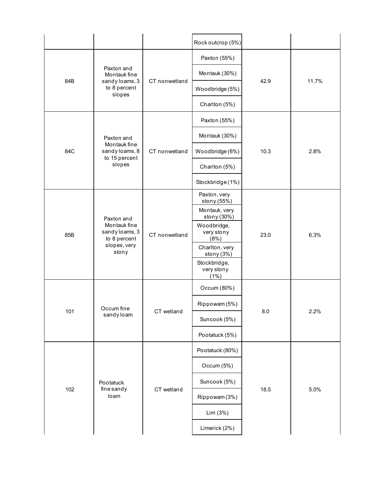|     |                                                                                       |               | Rock outcrop (5%)                   |      |       |
|-----|---------------------------------------------------------------------------------------|---------------|-------------------------------------|------|-------|
|     |                                                                                       |               | Paxton (55%)                        |      |       |
| 84B | Paxton and<br>Montauk fine<br>sandy loams, 3<br>to 8 percent<br>slopes                | CT nonwetland | Montauk (30%)                       | 42.9 | 11.7% |
|     |                                                                                       |               | Woodbridge (5%)                     |      |       |
|     |                                                                                       |               | Charlton (5%)                       |      |       |
|     |                                                                                       |               | Paxton (55%)                        |      |       |
|     | Paxton and                                                                            |               | Montauk (30%)                       |      |       |
| 84C | Montauk fine<br>sandy loams, 8                                                        | CT nonwetland | Woodbridge (6%)                     | 10.3 | 2.8%  |
|     | to 15 percent<br>slopes                                                               |               | Charlton (5%)                       |      |       |
|     |                                                                                       |               | Stockbridge (1%)                    |      |       |
|     | Paxton and<br>Montauk fine<br>sandy loams, 3<br>to 8 percent<br>slopes, very<br>stony | CT nonwetland | Paxton, very<br>stony (55%)         |      | 6.3%  |
|     |                                                                                       |               | Montauk, very<br>stony (30%)        | 23.0 |       |
| 85B |                                                                                       |               | Woodbridge,<br>very stony<br>(8%)   |      |       |
|     |                                                                                       |               | Charlton, very<br>stony (3%)        |      |       |
|     |                                                                                       |               | Stockbridge,<br>very stony<br>(1% ) |      |       |
|     |                                                                                       |               | Occum (80%)                         |      |       |
|     | Occum fine<br>sandy loam                                                              | CT wetland    | Rippowam (5%)                       | 8.0  | 2.2%  |
| 101 |                                                                                       |               | Suncook (5%)                        |      |       |
|     |                                                                                       |               | Pootatuck (5%)                      |      |       |
|     |                                                                                       |               | Pootatuck (80%)                     |      |       |
|     |                                                                                       | CT wetland    | Occum (5%)                          | 18.5 | 5.0%  |
| 102 | Pootatuck<br>finesandy<br>loam                                                        |               | Suncook (5%)                        |      |       |
|     |                                                                                       |               | Rippowam (3%)                       |      |       |
|     |                                                                                       |               | Lim(3%)                             |      |       |
|     |                                                                                       |               | Limerick (2%)                       |      |       |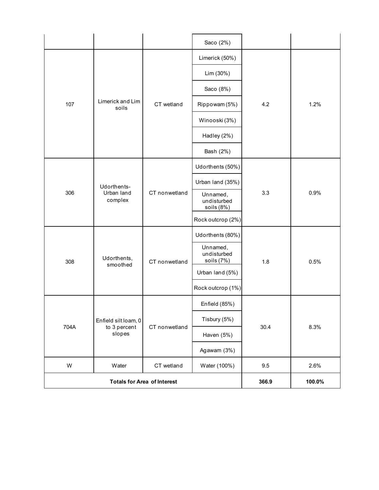|      | <b>Totals for Area of Interest</b>   | 366.9         | 100.0%                                |      |      |
|------|--------------------------------------|---------------|---------------------------------------|------|------|
| W    | Water                                | Water (100%)  | 9.5                                   | 2.6% |      |
|      |                                      |               | Agawam (3%)                           |      |      |
|      | to 3 percent<br>slopes               | CT nonwetland | Haven (5%)                            |      | 8.3% |
| 704A | Enfield silt loam, 0                 |               | Tisbury (5%)                          | 30.4 |      |
|      |                                      |               | Enfield (85%)                         |      |      |
|      | Udorthents,<br>smoothed              | CT nonwetland | Rock outcrop (1%)                     |      | 0.5% |
|      |                                      |               | Urban land (5%)                       | 1.8  |      |
| 308  |                                      |               | Unnamed,<br>undisturbed<br>soils (7%) |      |      |
|      |                                      |               | Udorthents (80%)                      |      |      |
|      | Udorthents-<br>Urban land<br>complex | CT nonwetland | Rock outcrop (2%)                     |      | 0.9% |
| 306  |                                      |               | Unnamed,<br>undisturbed<br>soils (8%) | 3.3  |      |
|      |                                      |               | Urban land (35%)                      |      |      |
|      |                                      |               | Udorthents (50%)                      |      |      |
|      |                                      |               | Bash (2%)                             |      |      |
|      |                                      |               | Hadley (2%)                           |      |      |
|      |                                      |               | Winooski (3%)                         |      |      |
| 107  | Limerick and Lim<br>soils            | CT wetland    | Rippowam (5%)                         | 4.2  | 1.2% |
|      |                                      |               | Saco (8%)                             |      |      |
|      |                                      |               | Lim (30%)                             |      |      |
|      |                                      |               | Limerick (50%)                        |      |      |
|      |                                      |               | Saco (2%)                             |      |      |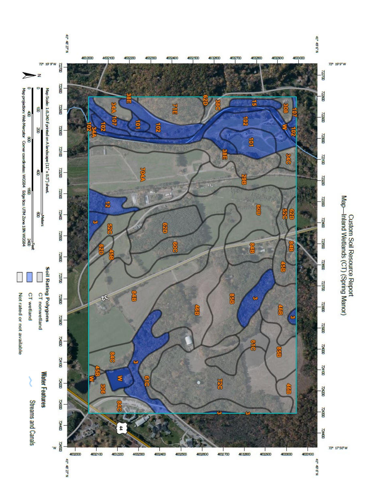